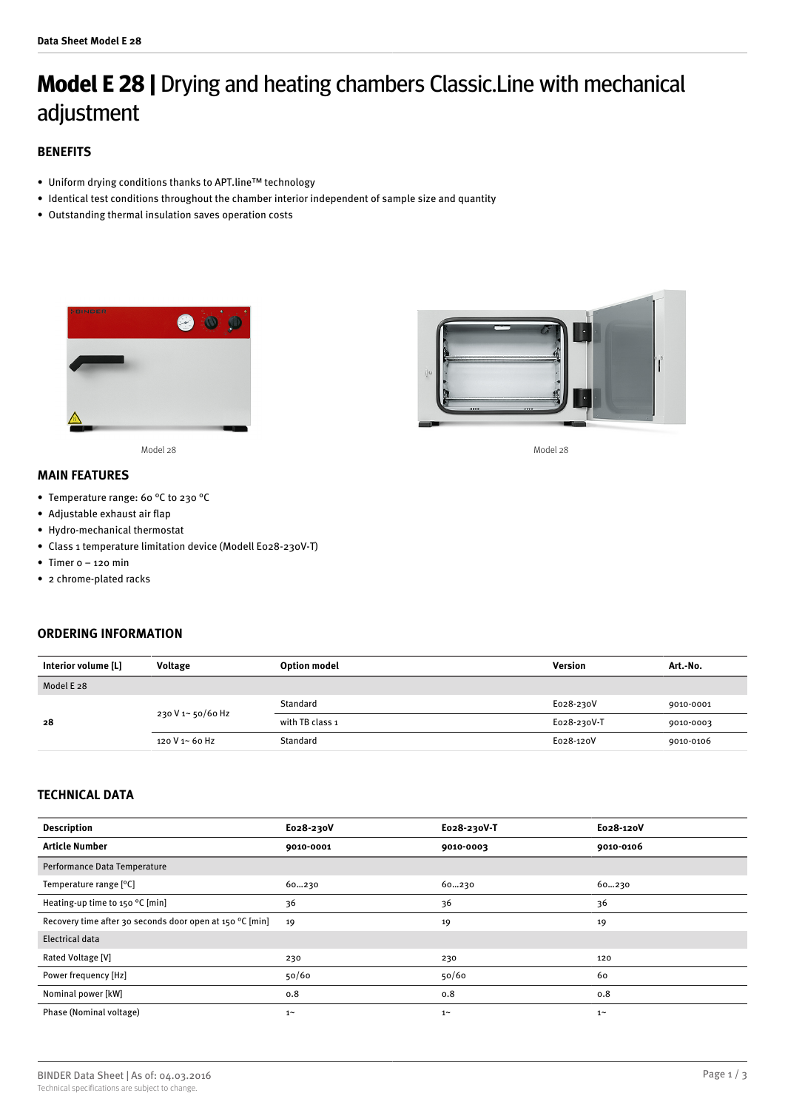# **Model E 28 |** Drying and heating chambers Classic.Line with mechanical adjustment

# **BENEFITS**

- Uniform drying conditions thanks to APT.line™ technology
- Identical test conditions throughout the chamber interior independent of sample size and quantity
- Outstanding thermal insulation saves operation costs



Model 28 Model 28

# **MAIN FEATURES**

- Temperature range: 60 °C to 230 °C
- Adjustable exhaust air flap
- Hydro-mechanical thermostat
- Class 1 temperature limitation device (Modell E028-230V-T)
- Timer 0 120 min
- 2 chrome-plated racks

# **ORDERING INFORMATION**



# **TECHNICAL DATA**

| <b>Description</b>                                       | E028-230V  | E028-230V-T | E028-120V |
|----------------------------------------------------------|------------|-------------|-----------|
| <b>Article Number</b>                                    | 9010-0001  | 9010-0003   | 9010-0106 |
| Performance Data Temperature                             |            |             |           |
| Temperature range [°C]                                   | 60230      | 60230       | 60230     |
| Heating-up time to 150 °C [min]                          | 36         | 36          | 36        |
| Recovery time after 30 seconds door open at 150 °C [min] | 19         | 19          | 19        |
| <b>Electrical data</b>                                   |            |             |           |
| Rated Voltage [V]                                        | 230        | 230         | 120       |
| Power frequency [Hz]                                     | 50/60      | 50/60       | 60        |
| Nominal power [kW]                                       | 0.8        | 0.8         | 0.8       |
| Phase (Nominal voltage)                                  | $1^{\sim}$ | $1 -$       | $1 -$     |

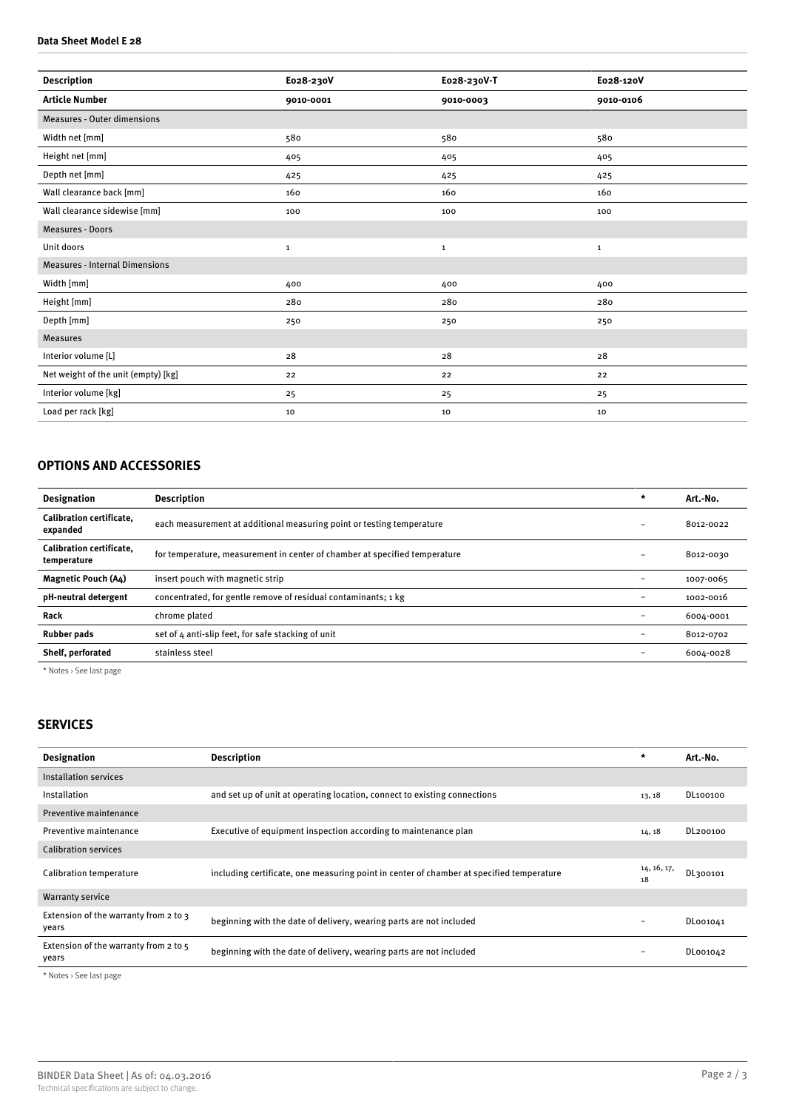### **Data Sheet Model E 28**

| <b>Description</b>                    | E028-230V   | E028-230V-T  | E028-120V    |
|---------------------------------------|-------------|--------------|--------------|
| <b>Article Number</b>                 | 9010-0001   | 9010-0003    | 9010-0106    |
| <b>Measures - Outer dimensions</b>    |             |              |              |
| Width net [mm]                        | 580         | 580          | 580          |
| Height net [mm]                       | 405         | 405          | 405          |
| Depth net [mm]                        | 425         | 425          | 425          |
| Wall clearance back [mm]              | 160         | 160          | 160          |
| Wall clearance sidewise [mm]          | 100         | 100          | 100          |
| <b>Measures - Doors</b>               |             |              |              |
| Unit doors                            | $\mathbf 1$ | $\mathbf{1}$ | $\mathbf{1}$ |
| <b>Measures - Internal Dimensions</b> |             |              |              |
| Width [mm]                            | 400         | 400          | 400          |
| Height [mm]                           | 280         | 280          | 280          |
| Depth [mm]                            | 250         | 250          | 250          |
| <b>Measures</b>                       |             |              |              |
| Interior volume [L]                   | 28          | 28           | 28           |
| Net weight of the unit (empty) [kg]   | 22          | 22           | 22           |
| Interior volume [kg]                  | 25          | 25           | 25           |
| Load per rack [kg]                    | 10          | 10           | 10           |

# **OPTIONS AND ACCESSORIES**

| <b>Designation</b>                             | <b>Description</b>                                                         | $\star$           | Art.-No.  |
|------------------------------------------------|----------------------------------------------------------------------------|-------------------|-----------|
| Calibration certificate.<br>expanded           | each measurement at additional measuring point or testing temperature      |                   | 8012-0022 |
| <b>Calibration certificate.</b><br>temperature | for temperature, measurement in center of chamber at specified temperature |                   | 8012-0030 |
| <b>Magnetic Pouch (A4)</b>                     | insert pouch with magnetic strip                                           |                   | 1007-0065 |
| pH-neutral detergent                           | concentrated, for gentle remove of residual contaminants; 1 kg             |                   | 1002-0016 |
| Rack                                           | chrome plated                                                              | $\qquad \qquad -$ | 6004-0001 |
| <b>Rubber pads</b>                             | set of 4 anti-slip feet, for safe stacking of unit                         |                   | 8012-0702 |
| Shelf, perforated                              | stainless steel                                                            |                   | 6004-0028 |
|                                                |                                                                            |                   |           |

\* Notes › See last page

# **SERVICES**

| <b>Designation</b>                               | <b>Description</b>                                                                       | $\star$                  | Art.-No. |
|--------------------------------------------------|------------------------------------------------------------------------------------------|--------------------------|----------|
| Installation services                            |                                                                                          |                          |          |
| Installation                                     | and set up of unit at operating location, connect to existing connections                | 13, 18                   | DL100100 |
| Preventive maintenance                           |                                                                                          |                          |          |
| Preventive maintenance                           | Executive of equipment inspection according to maintenance plan                          | 14, 18                   | DL200100 |
| <b>Calibration services</b>                      |                                                                                          |                          |          |
| Calibration temperature                          | including certificate, one measuring point in center of chamber at specified temperature | 14, 16, 17,<br>18        | DL300101 |
| <b>Warranty service</b>                          |                                                                                          |                          |          |
| Extension of the warranty from 2 to 3<br>vears   | beginning with the date of delivery, wearing parts are not included                      | $\overline{\phantom{0}}$ | DL001041 |
| Extension of the warranty from 2 to $5$<br>years | beginning with the date of delivery, wearing parts are not included                      | $\overline{\phantom{0}}$ | DL001042 |

\* Notes › See last page